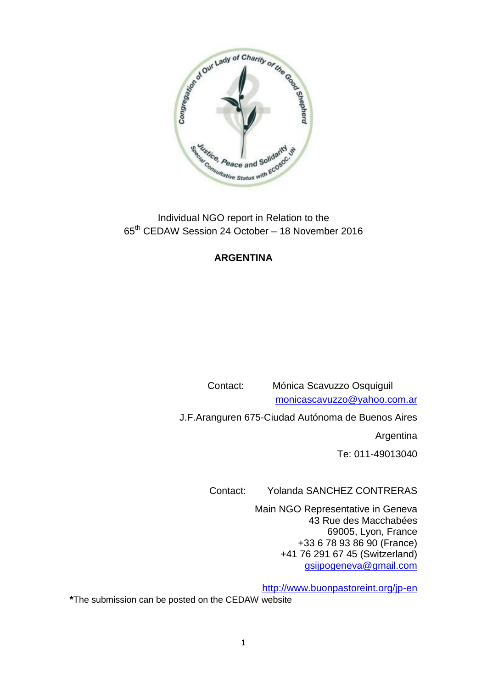

Individual NGO report in Relation to the 65th CEDAW Session 24 October – 18 November 2016

# **ARGENTINA**

 Contact: Mónica Scavuzzo Osquiguil [monicascavuzzo@yahoo.com.ar](mailto:monicascavuzzo@yahoo.com.ar)

J.F.Aranguren 675-Ciudad Autónoma de Buenos Aires

Argentina

Te: 011-49013040

Contact: Yolanda SANCHEZ CONTRERAS

Main NGO Representative in Geneva 43 Rue des Macchabées 69005, Lyon, France +33 6 78 93 86 90 (France) +41 76 291 67 45 (Switzerland) [gsijpogeneva@gmail.com](mailto:gsijpogeneva@gmail.com)

<http://www.buonpastoreint.org/jp-en>

**\***The submission can be posted on the CEDAW website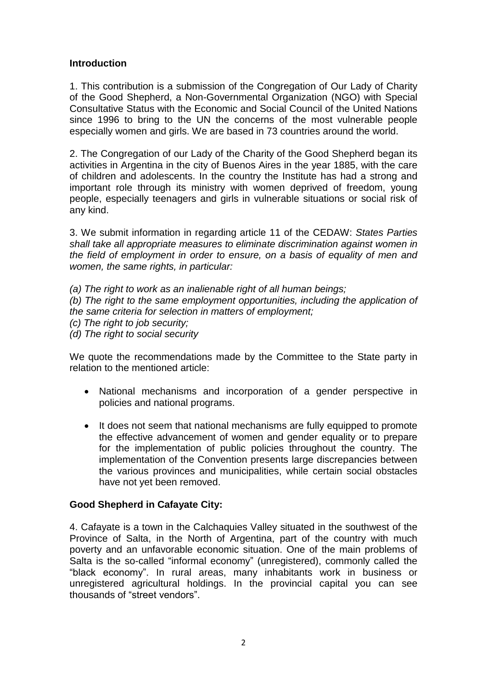## **Introduction**

1. This contribution is a submission of the Congregation of Our Lady of Charity of the Good Shepherd, a Non-Governmental Organization (NGO) with Special Consultative Status with the Economic and Social Council of the United Nations since 1996 to bring to the UN the concerns of the most vulnerable people especially women and girls. We are based in 73 countries around the world.

2. The Congregation of our Lady of the Charity of the Good Shepherd began its activities in Argentina in the city of Buenos Aires in the year 1885, with the care of children and adolescents. In the country the Institute has had a strong and important role through its ministry with women deprived of freedom, young people, especially teenagers and girls in vulnerable situations or social risk of any kind.

3. We submit information in regarding article 11 of the CEDAW: *States Parties shall take all appropriate measures to eliminate discrimination against women in the field of employment in order to ensure, on a basis of equality of men and women, the same rights, in particular:*

*(a) The right to work as an inalienable right of all human beings;*

*(b) The right to the same employment opportunities, including the application of the same criteria for selection in matters of employment;*

*(c) The right to job security;*

*(d) The right to social security*

We quote the recommendations made by the Committee to the State party in relation to the mentioned article:

- National mechanisms and incorporation of a gender perspective in policies and national programs.
- It does not seem that national mechanisms are fully equipped to promote the effective advancement of women and gender equality or to prepare for the implementation of public policies throughout the country. The implementation of the Convention presents large discrepancies between the various provinces and municipalities, while certain social obstacles have not yet been removed.

#### **Good Shepherd in Cafayate City:**

4. Cafayate is a town in the Calchaquies Valley situated in the southwest of the Province of Salta, in the North of Argentina, part of the country with much poverty and an unfavorable economic situation. One of the main problems of Salta is the so-called "informal economy" (unregistered), commonly called the "black economy". In rural areas, many inhabitants work in business or unregistered agricultural holdings. In the provincial capital you can see thousands of "street vendors".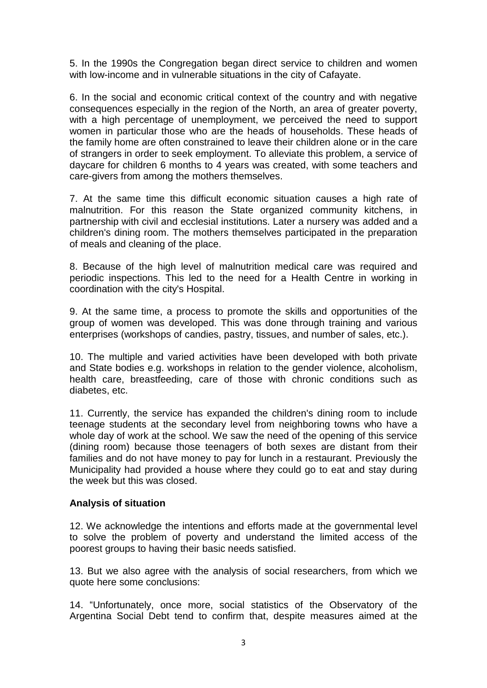5. In the 1990s the Congregation began direct service to children and women with low-income and in vulnerable situations in the city of Cafayate.

6. In the social and economic critical context of the country and with negative consequences especially in the region of the North, an area of greater poverty, with a high percentage of unemployment, we perceived the need to support women in particular those who are the heads of households. These heads of the family home are often constrained to leave their children alone or in the care of strangers in order to seek employment. To alleviate this problem, a service of daycare for children 6 months to 4 years was created, with some teachers and care-givers from among the mothers themselves.

7. At the same time this difficult economic situation causes a high rate of malnutrition. For this reason the State organized community kitchens, in partnership with civil and ecclesial institutions. Later a nursery was added and a children's dining room. The mothers themselves participated in the preparation of meals and cleaning of the place.

8. Because of the high level of malnutrition medical care was required and periodic inspections. This led to the need for a Health Centre in working in coordination with the city's Hospital.

9. At the same time, a process to promote the skills and opportunities of the group of women was developed. This was done through training and various enterprises (workshops of candies, pastry, tissues, and number of sales, etc.).

10. The multiple and varied activities have been developed with both private and State bodies e.g. workshops in relation to the gender violence, alcoholism, health care, breastfeeding, care of those with chronic conditions such as diabetes, etc.

11. Currently, the service has expanded the children's dining room to include teenage students at the secondary level from neighboring towns who have a whole day of work at the school. We saw the need of the opening of this service (dining room) because those teenagers of both sexes are distant from their families and do not have money to pay for lunch in a restaurant. Previously the Municipality had provided a house where they could go to eat and stay during the week but this was closed.

#### **Analysis of situation**

12. We acknowledge the intentions and efforts made at the governmental level to solve the problem of poverty and understand the limited access of the poorest groups to having their basic needs satisfied.

13. But we also agree with the analysis of social researchers, from which we quote here some conclusions:

14. "Unfortunately, once more, social statistics of the Observatory of the Argentina Social Debt tend to confirm that, despite measures aimed at the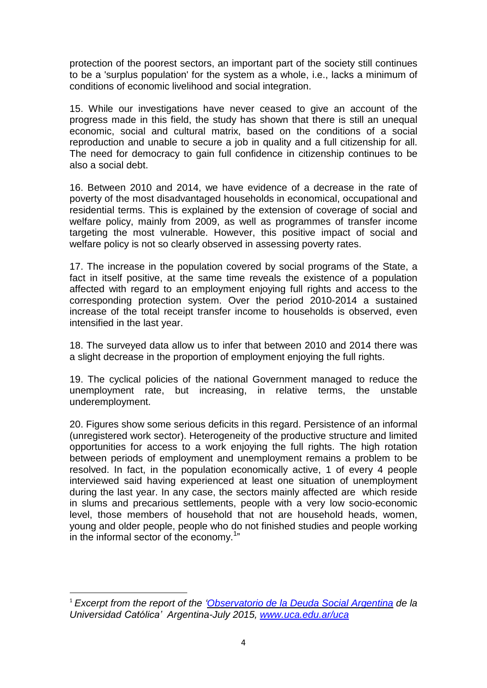protection of the poorest sectors, an important part of the society still continues to be a 'surplus population' for the system as a whole, i.e., lacks a minimum of conditions of economic livelihood and social integration.

15. While our investigations have never ceased to give an account of the progress made in this field, the study has shown that there is still an unequal economic, social and cultural matrix, based on the conditions of a social reproduction and unable to secure a job in quality and a full citizenship for all. The need for democracy to gain full confidence in citizenship continues to be also a social debt.

16. Between 2010 and 2014, we have evidence of a decrease in the rate of poverty of the most disadvantaged households in economical, occupational and residential terms. This is explained by the extension of coverage of social and welfare policy, mainly from 2009, as well as programmes of transfer income targeting the most vulnerable. However, this positive impact of social and welfare policy is not so clearly observed in assessing poverty rates.

17. The increase in the population covered by social programs of the State, a fact in itself positive, at the same time reveals the existence of a population affected with regard to an employment enjoying full rights and access to the corresponding protection system. Over the period 2010-2014 a sustained increase of the total receipt transfer income to households is observed, even intensified in the last year.

18. The surveyed data allow us to infer that between 2010 and 2014 there was a slight decrease in the proportion of employment enjoying the full rights.

19. The cyclical policies of the national Government managed to reduce the unemployment rate, but increasing, in relative terms, the unstable underemployment.

20. Figures show some serious deficits in this regard. Persistence of an informal (unregistered work sector). Heterogeneity of the productive structure and limited opportunities for access to a work enjoying the full rights. The high rotation between periods of employment and unemployment remains a problem to be resolved. In fact, in the population economically active, 1 of every 4 people interviewed said having experienced at least one situation of unemployment during the last year. In any case, the sectors mainly affected are which reside in slums and precarious settlements, people with a very low socio-economic level, those members of household that not are household heads, women, young and older people, people who do not finished studies and people working in the informal sector of the economy. $1$ <sup>"</sup>

**.** 

<sup>1</sup> *Excerpt from the report of the ['Observatorio](http://www.uca.edu.ar/index.php/site/index/es/uca/observatorio-de-la-deuda-social-argentina/cartelera/presentacion-del-barometro-de-la-deuda-social-argentina-2016/) de la Deuda Social Argentina de la Universidad Católica' Argentina-July 2015, [www.uca.edu.ar/uca](http://www.uca.edu.ar/uca)*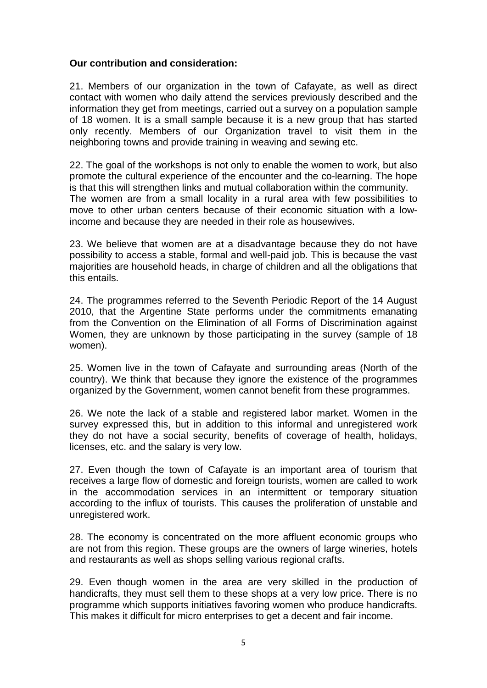#### **Our contribution and consideration:**

21. Members of our organization in the town of Cafayate, as well as direct contact with women who daily attend the services previously described and the information they get from meetings, carried out a survey on a population sample of 18 women. It is a small sample because it is a new group that has started only recently. Members of our Organization travel to visit them in the neighboring towns and provide training in weaving and sewing etc.

22. The goal of the workshops is not only to enable the women to work, but also promote the cultural experience of the encounter and the co-learning. The hope is that this will strengthen links and mutual collaboration within the community. The women are from a small locality in a rural area with few possibilities to move to other urban centers because of their economic situation with a lowincome and because they are needed in their role as housewives.

23. We believe that women are at a disadvantage because they do not have possibility to access a stable, formal and well-paid job. This is because the vast majorities are household heads, in charge of children and all the obligations that this entails.

24. The programmes referred to the Seventh Periodic Report of the 14 August 2010, that the Argentine State performs under the commitments emanating from the Convention on the Elimination of all Forms of Discrimination against Women, they are unknown by those participating in the survey (sample of 18 women).

25. Women live in the town of Cafayate and surrounding areas (North of the country). We think that because they ignore the existence of the programmes organized by the Government, women cannot benefit from these programmes.

26. We note the lack of a stable and registered labor market. Women in the survey expressed this, but in addition to this informal and unregistered work they do not have a social security, benefits of coverage of health, holidays, licenses, etc. and the salary is very low.

27. Even though the town of Cafayate is an important area of tourism that receives a large flow of domestic and foreign tourists, women are called to work in the accommodation services in an intermittent or temporary situation according to the influx of tourists. This causes the proliferation of unstable and unregistered work.

28. The economy is concentrated on the more affluent economic groups who are not from this region. These groups are the owners of large wineries, hotels and restaurants as well as shops selling various regional crafts.

29. Even though women in the area are very skilled in the production of handicrafts, they must sell them to these shops at a very low price. There is no programme which supports initiatives favoring women who produce handicrafts. This makes it difficult for micro enterprises to get a decent and fair income.